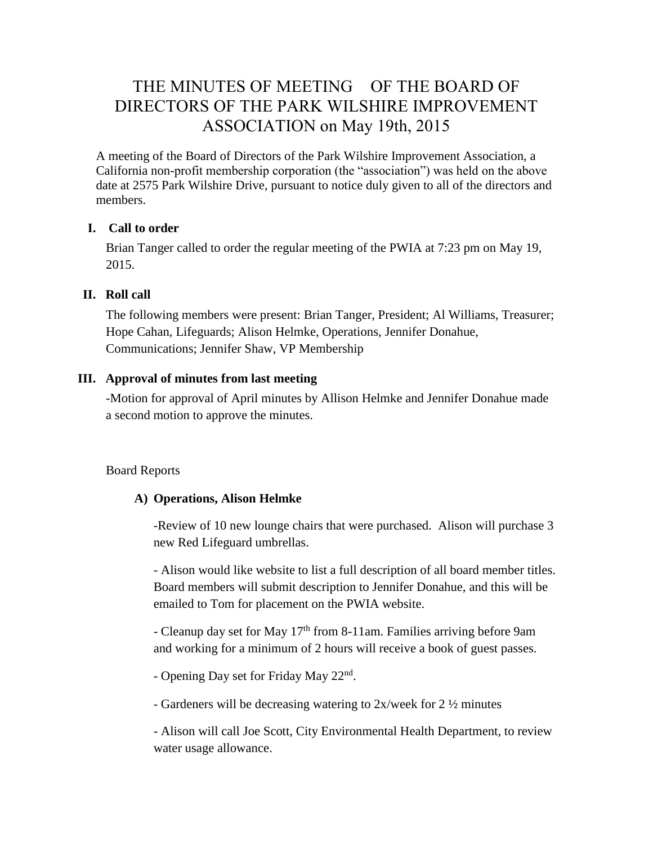# THE MINUTES OF MEETING OF THE BOARD OF DIRECTORS OF THE PARK WILSHIRE IMPROVEMENT ASSOCIATION on May 19th, 2015

A meeting of the Board of Directors of the Park Wilshire Improvement Association, a California non-profit membership corporation (the "association") was held on the above date at 2575 Park Wilshire Drive, pursuant to notice duly given to all of the directors and members.

## **I. Call to order**

Brian Tanger called to order the regular meeting of the PWIA at 7:23 pm on May 19, 2015.

### **II. Roll call**

The following members were present: Brian Tanger, President; Al Williams, Treasurer; Hope Cahan, Lifeguards; Alison Helmke, Operations, Jennifer Donahue, Communications; Jennifer Shaw, VP Membership

## **III. Approval of minutes from last meeting**

-Motion for approval of April minutes by Allison Helmke and Jennifer Donahue made a second motion to approve the minutes.

Board Reports

## **A) Operations, Alison Helmke**

-Review of 10 new lounge chairs that were purchased. Alison will purchase 3 new Red Lifeguard umbrellas.

- Alison would like website to list a full description of all board member titles. Board members will submit description to Jennifer Donahue, and this will be emailed to Tom for placement on the PWIA website.

- Cleanup day set for May 17<sup>th</sup> from 8-11am. Families arriving before 9am and working for a minimum of 2 hours will receive a book of guest passes.

- Opening Day set for Friday May 22<sup>nd</sup>.

- Gardeners will be decreasing watering to 2x/week for 2 ½ minutes

- Alison will call Joe Scott, City Environmental Health Department, to review water usage allowance.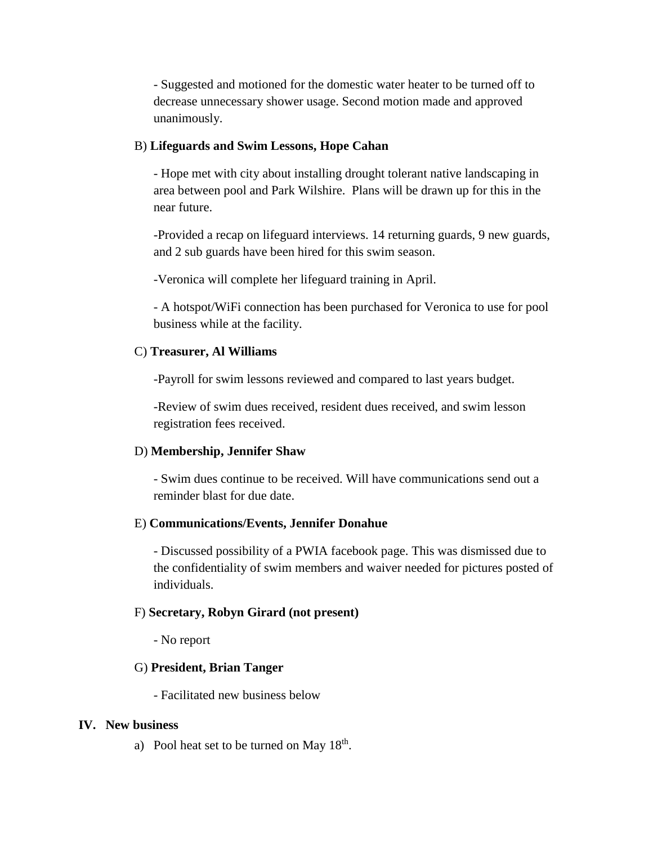- Suggested and motioned for the domestic water heater to be turned off to decrease unnecessary shower usage. Second motion made and approved unanimously.

#### B) **Lifeguards and Swim Lessons, Hope Cahan**

- Hope met with city about installing drought tolerant native landscaping in area between pool and Park Wilshire. Plans will be drawn up for this in the near future.

-Provided a recap on lifeguard interviews. 14 returning guards, 9 new guards, and 2 sub guards have been hired for this swim season.

-Veronica will complete her lifeguard training in April.

- A hotspot/WiFi connection has been purchased for Veronica to use for pool business while at the facility.

#### C) **Treasurer, Al Williams**

-Payroll for swim lessons reviewed and compared to last years budget.

-Review of swim dues received, resident dues received, and swim lesson registration fees received.

#### D) **Membership, Jennifer Shaw**

- Swim dues continue to be received. Will have communications send out a reminder blast for due date.

#### E) **Communications/Events, Jennifer Donahue**

- Discussed possibility of a PWIA facebook page. This was dismissed due to the confidentiality of swim members and waiver needed for pictures posted of individuals.

#### F) **Secretary, Robyn Girard (not present)**

- No report

#### G) **President, Brian Tanger**

- Facilitated new business below

#### **IV. New business**

a) Pool heat set to be turned on May  $18<sup>th</sup>$ .